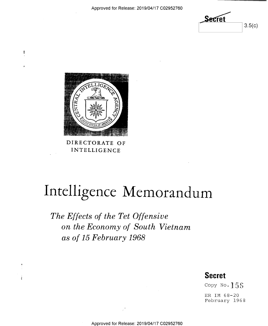$S$ ecret  $3.5(c)$ 



 $\frac{4}{3}$ 

DIRECTORATE OF INTELLIGENCE

# Intelligence Memorandum

The Effects of the Tet Offensive on the Economy of South Vietnam as of 15 February 1968

### Secret

Copy No. 155

ER IM 68-20 February 1968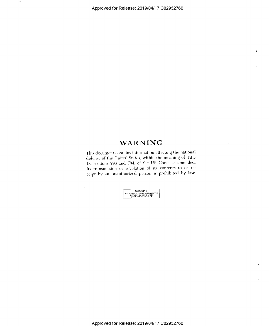$\ddot{\phantom{a}}$ 

÷.,

## **WARNING**

This document contains information affecting the national defense of the United States, within the meaning of Title 18, sections 793 and 794, of the US Code, as amended. Its transmission or revelation of its contents to or receipt by an unauthorized person is prohibited by law.

GROUP 1<br>EXCLUDED FROM AUTOMATIC<br>DECLASSIFICATION

 $\lambda$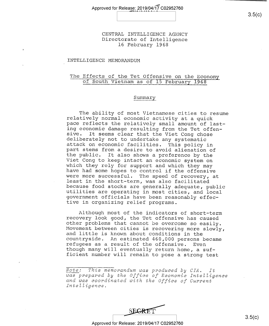CENTRAL INTELLIGENCE AGENCY Directorate of Intelligence l6 February 1968

#### INTELLIGENCE MEMORANDUM

## The Effects of the Tet Offensive on the Economy of South Vietnam as of l5 February <sup>1968</sup>

#### Summary

The ability of most Vietnamese cities to resume<br>relatively normal economic activity at a quick<br>pace reflects the relatively small amount of last-<br>ing economic damage resulting from the Tet offen-<br>sive. It seems clear that

Although most of the indicators of short-term<br>recovery look good, the Tet offensive has caused<br>other problems that cannot be overcome so easily.<br>Movement between cities is recovering more slowly,<br>and little is known about

Note: This memorandum was produced by CIA. It<br>was prepared by the Office of Economic Intelligence<br>and was coordinated with the Office of Current<br>Intelligence.

 $\begin{array}{ccc} \text{SERET} & & & 3.5(c) \end{array}$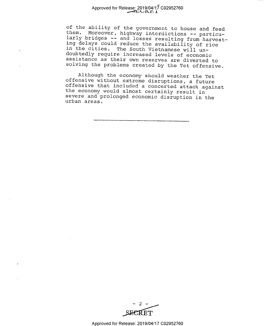#### Approved for Release: 2019/04/17 C02952760  $Z$  $T$  $UL1$

of the ability of the government to house and feed<br>them. Moreover, highway interdictions -- particu-<br>larly bridges -- and losses resulting from harvest-<br>ing delays could reduce the availability of rice<br>in the cities. The S

Although the economy should weather the Tet<br>offensive without extreme disruptions, a future<br>offensive that included a concerted attack against<br>the economy would almost certainly result in<br>severe and prolonged economic disr

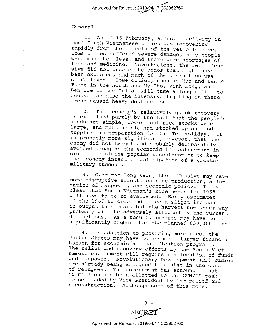#### General

1. As of 15 February, economic activity in<br>most South Vietnamese cities was recovering<br>rapidly from the effects of the Tet offensive.<br>Some cities suffered severe damage, many people<br>were made homeless, and there were short

2. The economy's relatively quick recovery<br>is explained partly by the fact that the people's<br>needs are simple, government rice stocks were<br>large, and most people had stocked up on food<br>supplies in preparation for the Tet h

3. Over the long term, the offensive may have<br>more disruptive effects on rice production, allo-<br>cation of manpower, and economic policy. It is<br>clear that South Vietnam's rice needs for 1968<br>will have to be re-evaluated. Ea

4. In addition to providing more rice, the<br>United States may have to assume a larger financial<br>burden for economic and pacification programs.<br>The relief and recovery efforts by the South Viet-<br>namese government will requir

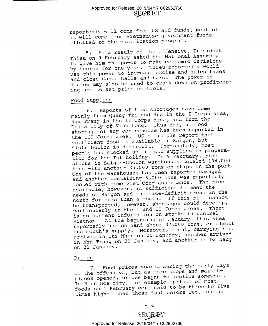#### Approved for Release: 2019/04/17 C02952760 **SECRET**

reportedly will come from US aid funds, most of it will come from Vietnamese government funds allotted to the pacification program.

5. As a result of the offensive, President Thieu on 9 February asked the National Assembly to give him the power to make economic decisions by decree for one year. Thieu reportedly would use this power to increase excise and sales taxes and close dance halls and bars. The power of decree may also be used to crack down on profiteering and to set price controls.

#### Food Supplies

6. Reports of food shortages have come mainly from Quang Tri and Hue in the I Corps area, Nha Trang in the II Corps area, and from the Delta city of Vinh Long. Thus far, no food shortage of any consequence has been reported in the III Corps area. US officials report that sufficient food is available in Saigon, but distribution is difficult. Fortunately, most people had stocked up on food supplies in preparation for the Tet holiday. On 9 February, rice stocks in Saigon-Cholon warehouses totaled 104,000 tons with another 35,000 tons on ships in the port. One of the warehouses has been reported damaged and another containing 5,000 tons was reportedly looted with some Viet Cong assistance. The rice available, however, is sufficient to meet the needs of Saigon and the rice—deficit areas in the north for more than a month. If this rice cannot be transported, however, shortages could develop, particularly in the I and II Corps areas. is no current information on stocks in central Vietnam. At the beginning of January, this area reportedly had on hand about 37,000 tons, or almost one month's supply. Moreover, a ship carrying rice arrived in Qui Nhon on 25 January, another arrived in Nha Trang on 30 January, and another in Da Nang on 31 January.

#### Prices

7. Food prices soared during the early days of the offensive, but as more shops and marketplaces opened, prices began to decline somewhat. In Bien Hoa city, for example, prices of most foods on 4 February were said to be three to five times higher than those just before Tet, and no

**SECRET**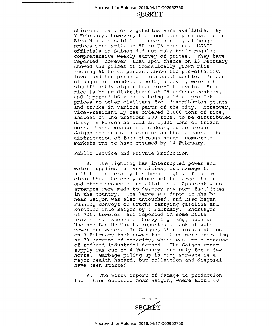#### Approved for Release: 2019/04/17 C02952760 **SEGRET**

chicken, meat, or vegetables were available. By <sup>7</sup>February, however, the food supply situation in Bien Hoa was said to be near normal, although prices were still up 50 to 75 percent. USAID officials in Saigon did not take their regular comprehensive weekly survey of prices. They have reported, however, that spot checks on l3 February showed the prices of domestically grown rice running 50 to 65 percent above the pre-offensive level and the price of fish about double. of sugar and condensed milk, however, were not<br>significantly higher than pre-Tet levels. Free significantly higher than pre-Tet levels. rice is being distributed at 75 refugee centers, and imported US rice is being sold at pre-Tet prices to other civilians from distribution points<br>and trucks in various parts of the city. Moreover, Vice-President Ky has ordered 2,000 tons of rice,<br>instead of the previous 200 tons, to be distributed daily in Saigon as well as 1,300 tons of frozen<br>pork. These measures are designed to prepare These measures are designed to prepare<br>. residents in case of another attack. The Saigon residents in case of another attack. distribution of food through normal commercial markets was to have resumed by 14 February.

#### Public Service and Private Production

8. The fighting has interrupted power and water supplies in many cities, but damage to<br>utilities generally has been slight. It seems utilities generally has been slight. clear that the enemy chose not to target these and other economic installations. Apparently no attempts were made to destroy any port facilities in the country. The large POL depot at Nha Be near Saigon was also untouched, and Esso began running convoys of trucks carrying gasoline and<br>kerosene into Saigon by 4 February. Shortages kerosene into Saigon by 4 February. of POL, however, are reported in some Delta provinces. Scenes of heavy fighting, such as Hue and Ban Me Thuot, reported a lack of both power and water. In Saigon, US officials stated on 9 February that power facilities were operating at 70 percent of capacity, which was ample because of reduced industrial demand. The Saigon water supply was cut on 4 February, but only for a few<br>hours. Garbage piling up in city streets is a major health hazard, but collection and disposal have been started.

9. The worst report of damage to production facilities occurred near Saigon, where about 60

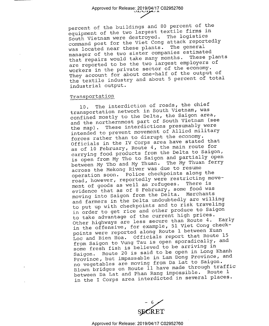percent of the buildings and 80 percent of the equipment of the two largest textile firms in South Vietnam were destroyed. The logistics command post for the Viet Cong attack reportedly was located near these plants. The general manager of the two sister companies estimated<br>that repairs would take many months. These plants that repairs would take many months. are reported to be the two largest employers of workers in the private sector of the economy. They account for about one-half of the output of the textile industry and about 5 percent of total industrial output.

#### Transportation

l0. The interdiction of roads, the chief transportation network in South Vietnam, was confined mostly to the Delta, the Saigon area, and the northernmost part of South Vietnam (see<br>the map). These interdictions presumably were These interdictions presumably were intended to prevent movement of Allied military forces rather than to disrupt the economy. Officials in the IV Corps area have stated that as of 10 February, Route 4, the main route for carrying food products from the Delta to Saigon, is open from My Tho to Saigon and partially open between My Tho and My Thuan. The My Thuan ferry across the Mekong River was due to resume operation soon. Police checkpoints along the road, however, reportedly were restricting movement of goods as well as refugees. evidence that as of 8 February, some food was moving into Saigon from the Delta. Merchants and farmers in the Delta undoubtedly are willing to put up with checkpoints and to risk traveling in order to get rice and other produce to Saigon to take advantage of the current high prices. Other highways are less secure than Route 4. Early in the offensive, for example, 51 Viet Cong checkpoints were reported along Route l between Xuan Loc and Bien Hoa. Officials report that Route 15 from Saigon to Vung Tau is open sporadically, and some fresh fish is believed to be arriving in Saigon. Route 20 is said to be open in Long Khanh Province, but impassable in Lam Dong Province, and no vegetables are moving from Da Lat to Saigon. Blown bridges on Route ll have made through traffic between Da Lat and Phan Rang impossible. Route 1 in the I Corps area interdicted in several places.

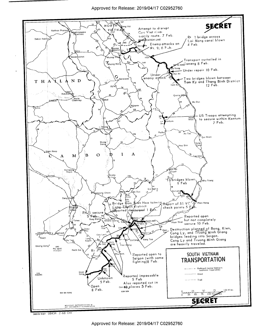

56873 9-67 58434 2-68 CIA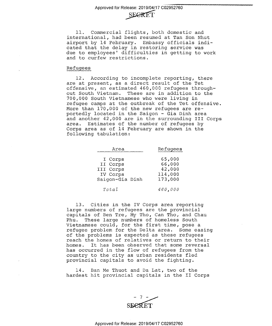## SEGRET

ll. Commercial flights, both domestic and international, had been resumed at Tan Son Nhut airport by l4 February. Embassy officials indicated that the delay in restoring service was due to employees' difficulties in getting to work and to curfew restrictions.

#### Refugees

l2. According to incomplete reporting, there are at present, as a direct result of the Tet offensive, an estimated 460,000 refugees throughout South Vietnam. These are in addition to the 700,000 South Vietnamese who were living in refugee camps at the outbreak of the Tet offensive More than 170,000 of the new refugees are reportedly located in the Saigon - Gia Dinh area and another 42,000 are in the surrounding III Corps area. Estimates of the number of refugees by Corps area as of 14 February are shown in the following tabulation:

| Area                                                            | Refugees                                         |
|-----------------------------------------------------------------|--------------------------------------------------|
| I Corps<br>II Corps<br>III Corps<br>IV Corps<br>Saigon-Gia Dinh | 65,000<br>66,000<br>42,000<br>114,000<br>173,000 |
| Total                                                           | 460,000                                          |

13. Cities in the IV Corps area reporting large numbers of refugees are the provincial capitals of Ben Tre, My Tho, Can Tho, and Chau Phu. These large numbers of homeless South Vietnamese could, for the first time, pose a refugee problem for the Delta area. Some easing of the problems is expected as these refugees reach the homes of relatives or return to their homes. It has been observed that some reversal has occurred in the flow of refugees from the country to the city as urban residents fled provincial capitals to avoid the fighting.

14. Ban Me Thuot and Da Lat, two of the hardest hit provincial capitals in the II Corps

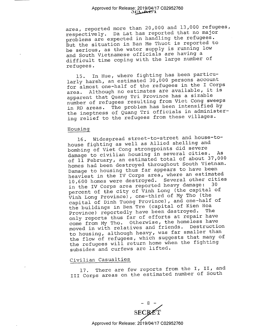area, reported more than 20,000 and 13,000 refugees, respectively. Da Lat has reported that no major problems are expected in handling the refugees. But the situation in Ban Me Thuot is reported to be serious, as the water supply is running low and South Vietnamese officials are having <sup>a</sup> difficult time coping with the large number of refugees.

15. In Hue, where fighting has been particularly harsh, an estimated 30,000 persons account for almost one—half of the refugees in the I Corps area. Although no estimates are available, it is apparent that Quang Tri Province has a sizable number of refugees resulting from Viet Cong sweeps in RD areas. The problem has been intensified by the ineptness of Quang Tri officials in administering relief to the refugees from these villages.

#### Housing

l6. Widespread street—to—street and house-tohouse fighting as well as Allied shelling and bombing of Viet Cong strongpoints did severe damage to civilian housing in several cities. As of ll February, an estimated total of about 37,000 homes had been destroyed throughout South Vietnam. Damage to housing thus far appears to have been heaviest in the IV Corps area, where an estimated 10,600 homes were destroyed. Several other cities in the IV Corps area reported heavy damage: percent of the city of Vinh Long (the capital of Vinh Long Province), one—third of My Tho (the capital of Dinh Tuong Province), and one—half of the buildings in Ben Tre (capital of Kien Hoa Province) reportedly have been destroyed. only reports thus far of efforts at repair have come from My Tho. Otherwise, the homeless have moved in with relatives and friends. Destruction to housing, although heavy, was far smaller than the flow of refugees, which suggests that many of the refugees will return home when the fighting subsides and curfews are lifted.

#### Civilian Casualties

17. There are few reports from the I, II, and III Corps areas on the estimated number of South

 $-8$  -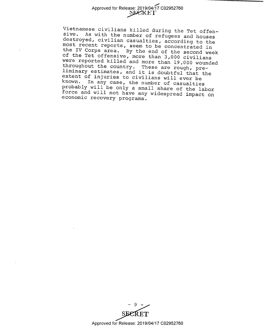Vietnamese civilians killed during the Tet offen-<br>sive. As with the number of refugees and houses<br>destroyed, civilian casualties, according to the<br>most recent reports, seem to be concentrated in<br>the IV Corps area. By the e